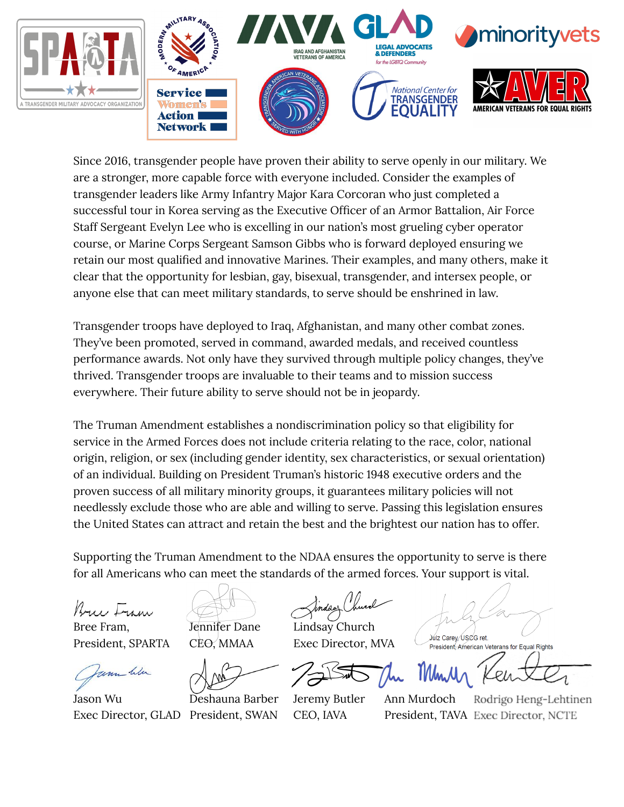

Since 2016, transgender people have proven their ability to serve openly in our military. We are a stronger, more capable force with everyone included. Consider the examples of transgender leaders like Army Infantry Major Kara Corcoran who just completed a successful tour in Korea serving as the Executive Officer of an Armor Battalion, Air Force Staff Sergeant Evelyn Lee who is excelling in our nation's most grueling cyber operator course, or Marine Corps Sergeant Samson Gibbs who is forward deployed ensuring we retain our most qualified and innovative Marines. Their examples, and many others, make it clear that the opportunity for lesbian, gay, bisexual, transgender, and intersex people, or anyone else that can meet military standards, to serve should be enshrined in law.

Transgender troops have deployed to Iraq, Afghanistan, and many other combat zones. They've been promoted, served in command, awarded medals, and received countless performance awards. Not only have they survived through multiple policy changes, they've thrived. Transgender troops are invaluable to their teams and to mission success everywhere. Their future ability to serve should not be in jeopardy.

The Truman Amendment establishes a nondiscrimination policy so that eligibility for service in the Armed Forces does not include criteria relating to the race, color, national origin, religion, or sex (including gender identity, sex characteristics, or sexual orientation) of an individual. Building on President Truman's historic 1948 executive orders and the proven success of all military minority groups, it guarantees military policies will not needlessly exclude those who are able and willing to serve. Passing this legislation ensures the United States can attract and retain the best and the brightest our nation has to offer.

Supporting the Truman Amendment to the NDAA ensures the opportunity to serve is there for all Americans who can meet the standards of the armed forces. Your support is vital.

Bruce Fran

Bree Fram, Jennifer Dane Lindsay Church

unn We

Jason Wu Deshauna Barber Jeremy Butler Ann Murdoch Exec Director, GLAD President, SWAN CEO, IAVA President, TAVA Exec Director, NCTE

President, SPARTA CEO, MMAA Exec Director, MVA

President, American Veterans for Equal Rights

Rodrigo Heng-Lehtinen

Julz Carey, USCG ret.